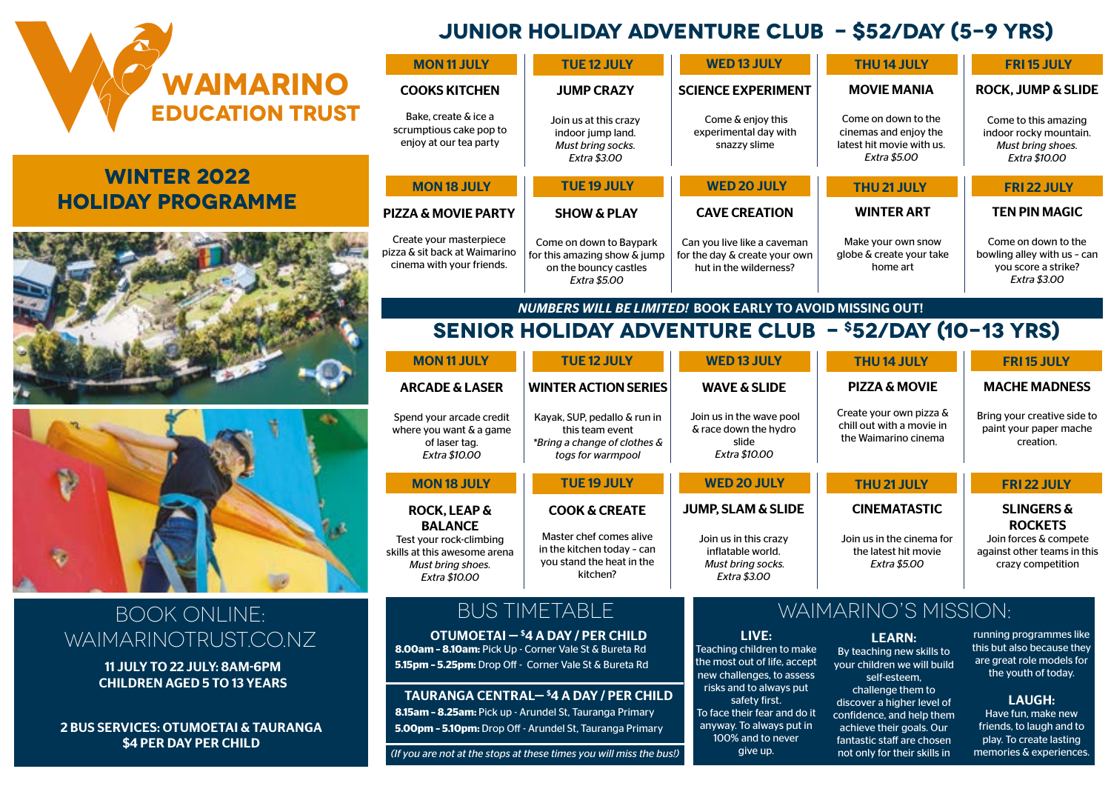

# **Winter 2022 Holiday Programme**





# Book Online:  $W$ AIMARINOTRUST.CO.NZ **LIVE:** OTUMOETAI-<sup>\$4</sup>A DAY/PER CHILD

11 JULY TO 22 JULY: 8AM-6PM CHILDREN AGED 5 TO 13 YEARS

**\$4 PER DAY PER CHILD** 

# **JUNIOR HOLIDAY ADVENTURE CLUB - \$52/DAY (5-9 YRS)**

| <b>MON 11 JULY</b>                                                                    | <b>TUE 12 JULY</b>                                                                                      | <b>WED 13 JULY</b>                                                                     | <b>THU14 JULY</b>                                                                                | <b>FRI 15 JULY</b>                                                                               |
|---------------------------------------------------------------------------------------|---------------------------------------------------------------------------------------------------------|----------------------------------------------------------------------------------------|--------------------------------------------------------------------------------------------------|--------------------------------------------------------------------------------------------------|
| <b>COOKS KITCHEN</b>                                                                  | <b>JUMP CRAZY</b>                                                                                       | <b>SCIENCE EXPERIMENT</b>                                                              | <b>MOVIE MANIA</b>                                                                               | <b>ROCK, JUMP &amp; SLIDE</b>                                                                    |
| Bake, create & ice a<br>scrumptious cake pop to<br>enjoy at our tea party             | Join us at this crazy<br>indoor jump land.<br>Must bring socks.<br><b>Extra \$3.00</b>                  | Come & enjoy this<br>experimental day with<br>snazzy slime                             | Come on down to the<br>cinemas and enjoy the<br>latest hit movie with us.<br><b>Extra \$5.00</b> | Come to this amazing<br>indoor rocky mountain.<br>Must bring shoes.<br><b>Extra \$10.00</b>      |
| <b>MON 18 JULY</b>                                                                    | <b>TUE 19 JULY</b>                                                                                      | <b>WED 20 JULY</b>                                                                     | <b>THU 21 JULY</b>                                                                               | <b>FRI 22 JULY</b>                                                                               |
| <b>PIZZA &amp; MOVIE PARTY</b>                                                        | <b>SHOW &amp; PLAY</b>                                                                                  | <b>CAVE CREATION</b>                                                                   | <b>WINTER ART</b>                                                                                | <b>TEN PIN MAGIC</b>                                                                             |
| Create your masterpiece<br>pizza & sit back at Waimarino<br>cinema with your friends. | Come on down to Baypark<br>for this amazing show & jump<br>on the bouncy castles<br><b>Extra \$5.00</b> | Can you live like a caveman<br>for the day & create your own<br>hut in the wilderness? | Make your own snow<br>globe & create your take<br>home art                                       | Come on down to the<br>bowling alley with us - can<br>you score a strike?<br><b>Extra \$3.00</b> |

#### *NUMBERS WILL BE LIMITED!* BOOK EARLY TO AVOID MISSING OUT!

## **senior Holiday Adventure Club - \$52/day (10-13 YRS)**

| <b>MON 11 JULY</b>                                                                                                                         | <b>TUE 12 JULY</b>                                                                                                         | <b>WED 13 JULY</b>                                                                                               | <b>THU14 JULY</b>                                                                               | <b>FRI15 JULY</b>                                                                                                    |
|--------------------------------------------------------------------------------------------------------------------------------------------|----------------------------------------------------------------------------------------------------------------------------|------------------------------------------------------------------------------------------------------------------|-------------------------------------------------------------------------------------------------|----------------------------------------------------------------------------------------------------------------------|
| <b>ARCADE &amp; LASER</b>                                                                                                                  | <b>WINTER ACTION SERIES</b>                                                                                                | <b>WAVE &amp; SLIDE</b>                                                                                          | <b>PIZZA &amp; MOVIE</b>                                                                        | <b>MACHE MADNESS</b>                                                                                                 |
| Spend your arcade credit<br>where you want & a game<br>of laser tag.<br>Extra \$10.00                                                      | Kayak, SUP, pedallo & run in<br>this team event<br>*Bring a change of clothes &<br>togs for warmpool                       | Join us in the wave pool<br>& race down the hydro<br>slide<br><b>Extra \$10.00</b>                               | Create your own pizza &<br>chill out with a movie in<br>the Waimarino cinema                    | Bring your creative side to<br>paint your paper mache<br>creation.                                                   |
| <b>MON 18 JULY</b>                                                                                                                         | <b>TUE 19 JULY</b>                                                                                                         | <b>WED 20 JULY</b>                                                                                               | <b>THU 21 JULY</b>                                                                              | <b>FRI 22 JULY</b>                                                                                                   |
| <b>ROCK, LEAP &amp;</b><br><b>BALANCE</b><br>Test your rock-climbing<br>skills at this awesome arena<br>Must bring shoes.<br>Extra \$10.00 | <b>COOK &amp; CREATE</b><br>Master chef comes alive<br>in the kitchen today - can<br>you stand the heat in the<br>kitchen? | <b>JUMP, SLAM &amp; SLIDE</b><br>Join us in this crazy<br>inflatable world.<br>Must bring socks.<br>Extra \$3.00 | <b>CINEMATASTIC</b><br>Join us in the cinema for<br>the latest hit movie<br><b>Extra \$5.00</b> | <b>SLINGERS &amp;</b><br><b>ROCKETS</b><br>Join forces & compete<br>against other teams in this<br>crazy competition |

OTUMOETAI — \$ 4 A DAY / PER CHILD **8.00am – 8.10am:** Pick Up - Corner Vale St & Bureta Rd **5.15pm – 5.25pm:** Drop Off - Corner Vale St & Bureta Rd

TAURANGA CENTRAL— \$ 4 A DAY / PER CHILD **8.15am – 8.25am:** Pick up - Arundel St, Tauranga Primary 2 BUS SERVICES: OTUMOETAI & TAURANGA **5.00pm – 5.10pm:** Drop Off - Arundel St, Tauranga Primary

*(If you are not at the stops at these times you will miss the bus!)*

# BUS TIMETABLE WAIMARINO'S MISSION:

LEARN: By teaching new skills to your children we will build self-esteem, challenge them to discover a higher level of confidence, and help them achieve their goals. Our fantastic staff are chosen not only for their skills in

Teaching children to make the most out of life, accept new challenges, to assess risks and to always put safety first. To face their fear and do it anyway. To always put in 100% and to never give up.

running programmes like this but also because they are great role models for the youth of today.

#### LAUGH:

Have fun, make new friends, to laugh and to play. To create lasting memories & experiences.